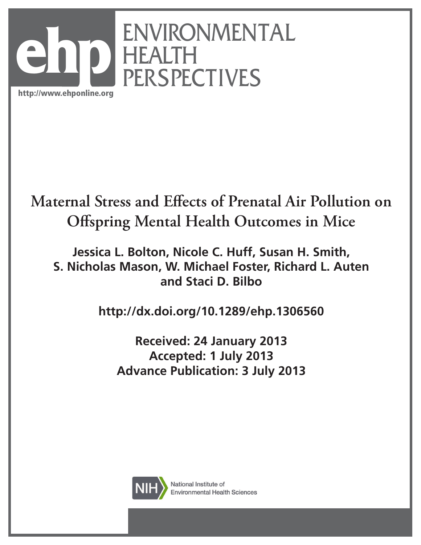

# ENVIRONMENTAL **HEALTH** PERSPECTIVES

## **Maternal Stress and Effects of Prenatal Air Pollution on Offspring Mental Health Outcomes in Mice**

## **Jessica L. Bolton, Nicole C. Huff, Susan H. Smith, S. Nicholas Mason, W. Michael Foster, Richard L. Auten and Staci D. Bilbo**

**http://dx.doi.org/10.1289/ehp.1306560**

**Received: 24 January 2013 Accepted: 1 July 2013 Advance Publication: 3 July 2013**



National Institute of **Environmental Health Sciences**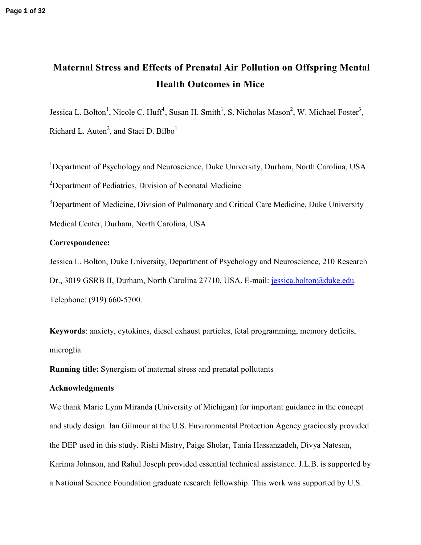### **Maternal Stress and Effects of Prenatal Air Pollution on Offspring Mental Health Outcomes in Mice**

Jessica L. Bolton<sup>1</sup>, Nicole C. Huff<sup>1</sup>, Susan H. Smith<sup>1</sup>, S. Nicholas Mason<sup>2</sup>, W. Michael Foster<sup>3</sup>, Richard L. Auten<sup>2</sup>, and Staci D. Bilbo<sup>1</sup>

<sup>1</sup>Department of Psychology and Neuroscience, Duke University, Durham, North Carolina, USA <sup>2</sup>Department of Pediatrics, Division of Neonatal Medicine

<sup>3</sup>Department of Medicine, Division of Pulmonary and Critical Care Medicine, Duke University

Medical Center, Durham, North Carolina, USA

#### **Correspondence:**

 Jessica L. Bolton, Duke University, Department of Psychology and Neuroscience, 210 Research Dr., 3019 GSRB II, Durham, North Carolina 27710, USA. E-mail: jessica.bolton@duke.edu. Telephone: (919) 660-5700.

 **Keywords**: anxiety, cytokines, diesel exhaust particles, fetal programming, memory deficits, microglia

**Running title:** Synergism of maternal stress and prenatal pollutants

#### **Acknowledgments**

 We thank Marie Lynn Miranda (University of Michigan) for important guidance in the concept and study design. Ian Gilmour at the U.S. Environmental Protection Agency graciously provided the DEP used in this study. Rishi Mistry, Paige Sholar, Tania Hassanzadeh, Divya Natesan, Karima Johnson, and Rahul Joseph provided essential technical assistance. J.L.B. is supported by a National Science Foundation graduate research fellowship. This work was supported by U.S.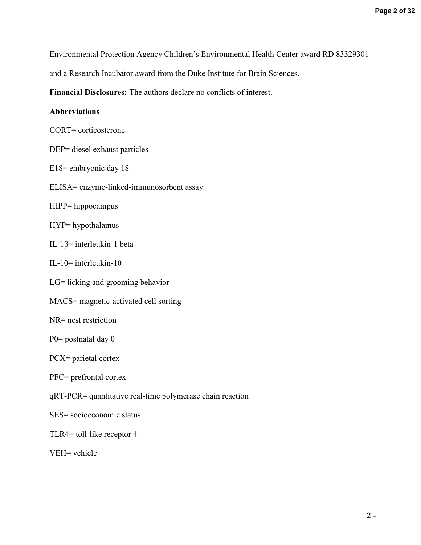Environmental Protection Agency Children's Environmental Health Center award RD 83329301

and a Research Incubator award from the Duke Institute for Brain Sciences.

**Financial Disclosures:** The authors declare no conflicts of interest.

#### **Abbreviations**

- CORT= corticosterone
- DEP= diesel exhaust particles
- E18= embryonic day 18
- ELISA= enzyme-linked-immunosorbent assay
- HIPP= hippocampus
- HYP= hypothalamus
- IL-1β= interleukin-1 beta
- IL-10= interleukin-10
- LG= licking and grooming behavior
- MACS= magnetic-activated cell sorting
- NR= nest restriction
- P0= postnatal day 0
- PCX= parietal cortex
- PFC= prefrontal cortex
- qRT-PCR= quantitative real-time polymerase chain reaction
- SES= socioeconomic status
- TLR4= toll-like receptor 4
- VEH= vehicle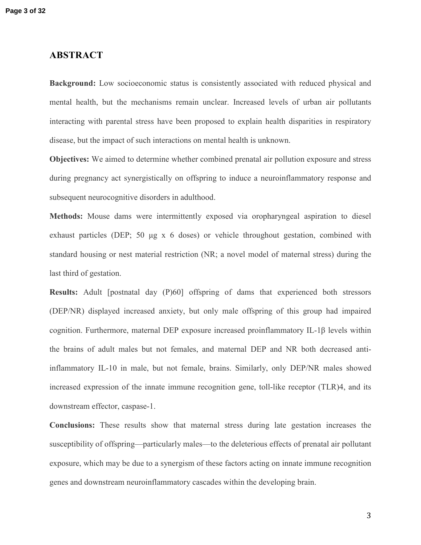#### **ABSTRACT**

 **Background:** Low socioeconomic status is consistently associated with reduced physical and mental health, but the mechanisms remain unclear. Increased levels of urban air pollutants interacting with parental stress have been proposed to explain health disparities in respiratory disease, but the impact of such interactions on mental health is unknown.

 **Objectives:** We aimed to determine whether combined prenatal air pollution exposure and stress during pregnancy act synergistically on offspring to induce a neuroinflammatory response and subsequent neurocognitive disorders in adulthood.

 **Methods:** Mouse dams were intermittently exposed via oropharyngeal aspiration to diesel exhaust particles (DEP; 50 µg x 6 doses) or vehicle throughout gestation, combined with standard housing or nest material restriction (NR; a novel model of maternal stress) during the last third of gestation.

 **Results:** Adult [postnatal day (P)60] offspring of dams that experienced both stressors (DEP/NR) displayed increased anxiety, but only male offspring of this group had impaired cognition. Furthermore, maternal DEP exposure increased proinflammatory IL-1β levels within the brains of adult males but not females, and maternal DEP and NR both decreased antiinflammatory IL-10 in male, but not female, brains. Similarly, only DEP/NR males showed increased expression of the innate immune recognition gene, toll-like receptor (TLR)4, and its downstream effector, caspase-1.

 **Conclusions:** These results show that maternal stress during late gestation increases the susceptibility of offspring—particularly males—to the deleterious effects of prenatal air pollutant exposure, which may be due to a synergism of these factors acting on innate immune recognition genes and downstream neuroinflammatory cascades within the developing brain.

3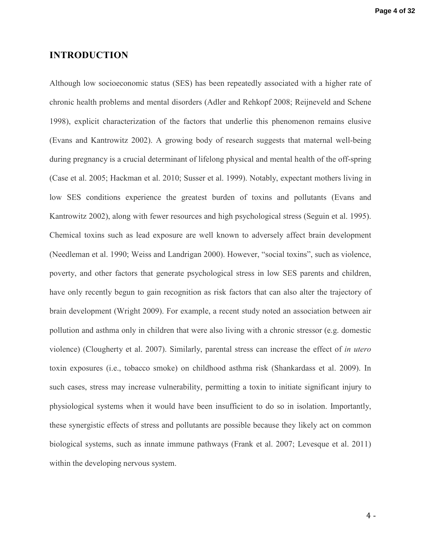#### **INTRODUCTION**

 Although low socioeconomic status (SES) has been repeatedly associated with a higher rate of chronic health problems and mental disorders (Adler and Rehkopf 2008; Reijneveld and Schene 1998), explicit characterization of the factors that underlie this phenomenon remains elusive (Evans and Kantrowitz 2002). A growing body of research suggests that maternal well-being during pregnancy is a crucial determinant of lifelong physical and mental health of the off-spring (Case et al. 2005; Hackman et al. 2010; Susser et al. 1999). Notably, expectant mothers living in low SES conditions experience the greatest burden of toxins and pollutants (Evans and Kantrowitz 2002), along with fewer resources and high psychological stress (Seguin et al. 1995). Chemical toxins such as lead exposure are well known to adversely affect brain development (Needleman et al. 1990; Weiss and Landrigan 2000). However, "social toxins", such as violence, poverty, and other factors that generate psychological stress in low SES parents and children, have only recently begun to gain recognition as risk factors that can also alter the trajectory of brain development (Wright 2009). For example, a recent study noted an association between air pollution and asthma only in children that were also living with a chronic stressor (e.g. domestic violence) (Clougherty et al. 2007). Similarly, parental stress can increase the effect of *in utero* toxin exposures (i.e., tobacco smoke) on childhood asthma risk (Shankardass et al. 2009). In such cases, stress may increase vulnerability, permitting a toxin to initiate significant injury to physiological systems when it would have been insufficient to do so in isolation. Importantly, these synergistic effects of stress and pollutants are possible because they likely act on common biological systems, such as innate immune pathways (Frank et al. 2007; Levesque et al. 2011) within the developing nervous system.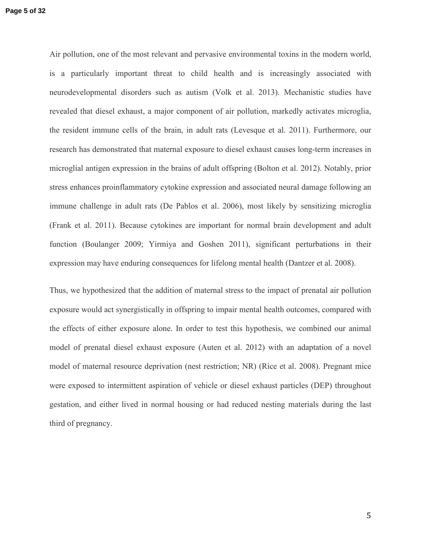Air pollution, one of the most relevant and pervasive environmental toxins in the modern world, is a particularly important threat to child health and is increasingly associated with neurodevelopmental disorders such as autism (Volk et al. 2013). Mechanistic studies have revealed that diesel exhaust, a major component of air pollution, markedly activates microglia, the resident immune cells of the brain, in adult rats (Levesque et al. 2011). Furthermore, our research has demonstrated that maternal exposure to diesel exhaust causes long-term increases in microglial antigen expression in the brains of adult offspring (Bolton et al. 2012). Notably, prior stress enhances proinflammatory cytokine expression and associated neural damage following an immune challenge in adult rats (De Pablos et al. 2006), most likely by sensitizing microglia (Frank et al. 2011). Because cytokines are important for normal brain development and adult function (Boulanger 2009; Yirmiya and Goshen 2011), significant perturbations in their expression may have enduring consequences for lifelong mental health (Dantzer et al. 2008).

 Thus, we hypothesized that the addition of maternal stress to the impact of prenatal air pollution exposure would act synergistically in offspring to impair mental health outcomes, compared with the effects of either exposure alone. In order to test this hypothesis, we combined our animal model of prenatal diesel exhaust exposure (Auten et al. 2012) with an adaptation of a novel model of maternal resource deprivation (nest restriction; NR) (Rice et al. 2008). Pregnant mice were exposed to intermittent aspiration of vehicle or diesel exhaust particles (DEP) throughout gestation, and either lived in normal housing or had reduced nesting materials during the last third of pregnancy.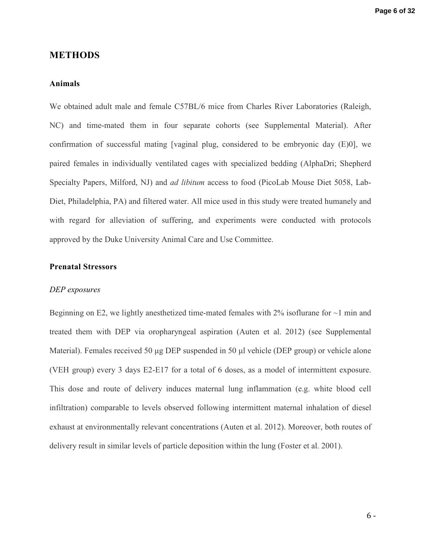#### **METHODS**

#### **Animals**

 We obtained adult male and female C57BL/6 mice from Charles River Laboratories (Raleigh, NC) and time-mated them in four separate cohorts (see Supplemental Material). After confirmation of successful mating [vaginal plug, considered to be embryonic day (E)0], we paired females in individually ventilated cages with specialized bedding (AlphaDri; Shepherd Specialty Papers, Milford, NJ) and *ad libitum* access to food (PicoLab Mouse Diet 5058, Lab- Diet, Philadelphia, PA) and filtered water. All mice used in this study were treated humanely and with regard for alleviation of suffering, and experiments were conducted with protocols approved by the Duke University Animal Care and Use Committee.

#### **Prenatal Stressors**

#### *DEP exposures*

Beginning on E2, we lightly anesthetized time-mated females with 2% isoflurane for  $\sim$ 1 min and treated them with DEP via oropharyngeal aspiration (Auten et al. 2012) (see Supplemental Material). Females received 50 µg DEP suspended in 50 µl vehicle (DEP group) or vehicle alone (VEH group) every 3 days E2-E17 for a total of 6 doses, as a model of intermittent exposure. This dose and route of delivery induces maternal lung inflammation (e.g. white blood cell infiltration) comparable to levels observed following intermittent maternal inhalation of diesel exhaust at environmentally relevant concentrations (Auten et al. 2012). Moreover, both routes of delivery result in similar levels of particle deposition within the lung (Foster et al. 2001).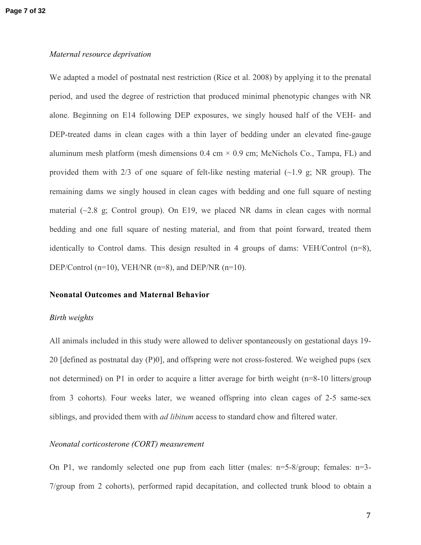#### *Maternal resource deprivation*

 We adapted a model of postnatal nest restriction (Rice et al. 2008) by applying it to the prenatal period, and used the degree of restriction that produced minimal phenotypic changes with NR alone. Beginning on E14 following DEP exposures, we singly housed half of the VEH- and DEP-treated dams in clean cages with a thin layer of bedding under an elevated fine-gauge aluminum mesh platform (mesh dimensions  $0.4 \text{ cm} \times 0.9 \text{ cm}$ ; McNichols Co., Tampa, FL) and provided them with  $2/3$  of one square of felt-like nesting material  $(\sim 1.9 \text{ g}; \text{ NR} \text{ group})$ . The remaining dams we singly housed in clean cages with bedding and one full square of nesting material (~2.8 g; Control group). On E19, we placed NR dams in clean cages with normal bedding and one full square of nesting material, and from that point forward, treated them identically to Control dams. This design resulted in 4 groups of dams: VEH/Control (n=8), DEP/Control (n=10), VEH/NR (n=8), and DEP/NR (n=10).

#### **Neonatal Outcomes and Maternal Behavior**

#### *Birth weights*

 All animals included in this study were allowed to deliver spontaneously on gestational days 19 20 [defined as postnatal day (P)0], and offspring were not cross-fostered. We weighed pups (sex not determined) on P1 in order to acquire a litter average for birth weight (n=8-10 litters/group from 3 cohorts). Four weeks later, we weaned offspring into clean cages of 2-5 same-sex siblings, and provided them with *ad libitum* access to standard chow and filtered water.

#### *Neonatal corticosterone (CORT) measurement*

On P1, we randomly selected one pup from each litter (males:  $n=5-8/group$ ; females:  $n=3-$ 7/group from 2 cohorts), performed rapid decapitation, and collected trunk blood to obtain a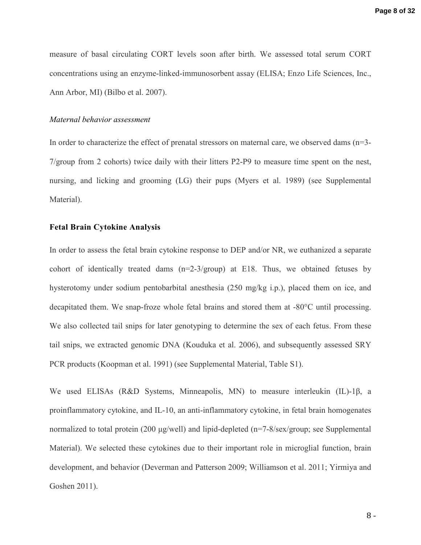measure of basal circulating CORT levels soon after birth. We assessed total serum CORT concentrations using an enzyme-linked-immunosorbent assay (ELISA; Enzo Life Sciences, Inc., Ann Arbor, MI) (Bilbo et al. 2007).

#### *Maternal behavior assessment*

 In order to characterize the effect of prenatal stressors on maternal care, we observed dams (n=3 7/group from 2 cohorts) twice daily with their litters P2-P9 to measure time spent on the nest, nursing, and licking and grooming (LG) their pups (Myers et al. 1989) (see Supplemental Material).

#### **Fetal Brain Cytokine Analysis**

 In order to assess the fetal brain cytokine response to DEP and/or NR, we euthanized a separate cohort of identically treated dams  $(n=2-3/group)$  at E18. Thus, we obtained fetuses by hysterotomy under sodium pentobarbital anesthesia (250 mg/kg i.p.), placed them on ice, and decapitated them. We snap-froze whole fetal brains and stored them at  $-80^{\circ}$ C until processing. We also collected tail snips for later genotyping to determine the sex of each fetus. From these tail snips, we extracted genomic DNA (Kouduka et al. 2006), and subsequently assessed SRY PCR products (Koopman et al. 1991) (see Supplemental Material, Table S1).

We used ELISAs (R&D Systems, Minneapolis, MN) to measure interleukin (IL)-1β, a proinflammatory cytokine, and IL-10, an anti-inflammatory cytokine, in fetal brain homogenates normalized to total protein (200 µg/well) and lipid-depleted (n=7-8/sex/group; see Supplemental Material). We selected these cytokines due to their important role in microglial function, brain development, and behavior (Deverman and Patterson 2009; Williamson et al. 2011; Yirmiya and Goshen 2011).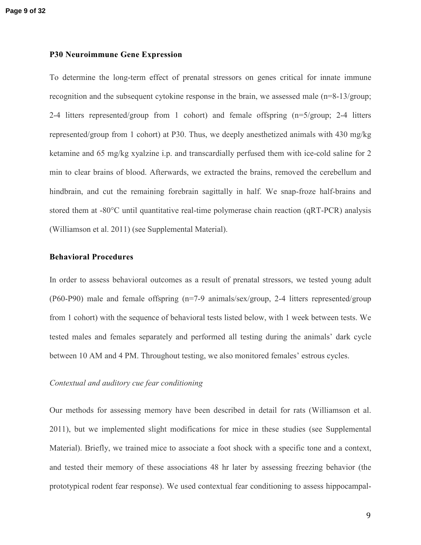#### **P30 Neuroimmune Gene Expression**

To determine the long-term effect of prenatal stressors on genes critical for innate immune recognition and the subsequent cytokine response in the brain, we assessed male (n=8-13/group; 24 litters represented/group from 1 cohort) and female offspring (n=5/group; 24 litters represented/group from 1 cohort) at P30. Thus, we deeply anesthetized animals with 430 mg/kg ketamine and 65 mg/kg xyalzine i.p. and transcardially perfused them with ice-cold saline for 2 min to clear brains of blood. Afterwards, we extracted the brains, removed the cerebellum and hindbrain, and cut the remaining forebrain sagittally in half. We snap-froze half-brains and stored them at -80 $^{\circ}$ C until quantitative real-time polymerase chain reaction (qRT-PCR) analysis (Williamson et al. 2011) (see Supplemental Material).

#### **Behavioral Procedures**

 In order to assess behavioral outcomes as a result of prenatal stressors, we tested young adult (P60-P90) male and female offspring  $(n=7-9)$  animals/sex/group, 2-4 litters represented/group from 1 cohort) with the sequence of behavioral tests listed below, with 1 week between tests. We tested males and females separately and performed all testing during the animals' dark cycle between 10 AM and 4 PM. Throughout testing, we also monitored females' estrous cycles.

#### *Contextual and auditory cue fear conditioning*

 Our methods for assessing memory have been described in detail for rats (Williamson et al. 2011), but we implemented slight modifications for mice in these studies (see Supplemental Material). Briefly, we trained mice to associate a foot shock with a specific tone and a context, and tested their memory of these associations 48 hr later by assessing freezing behavior (the prototypical rodent fear response). We used contextual fear conditioning to assess hippocampal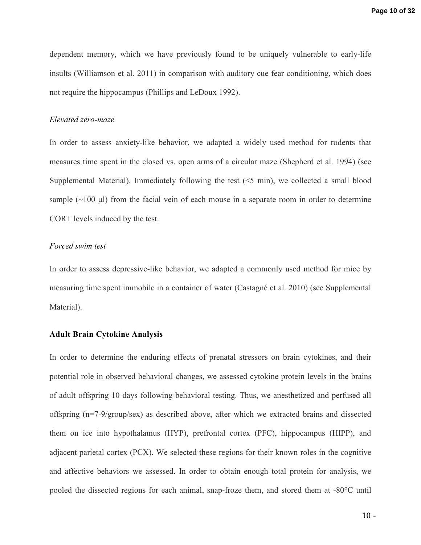dependent memory, which we have previously found to be uniquely vulnerable to early-life insults (Williamson et al. 2011) in comparison with auditory cue fear conditioning, which does not require the hippocampus (Phillips and LeDoux 1992).

#### *Elevated zeromaze*

In order to assess anxiety-like behavior, we adapted a widely used method for rodents that measures time spent in the closed vs. open arms of a circular maze (Shepherd et al. 1994) (see Supplemental Material). Immediately following the test (<5 min), we collected a small blood sample  $(\sim 100 \mu l)$  from the facial vein of each mouse in a separate room in order to determine CORT levels induced by the test.

#### *Forced swim test*

In order to assess depressive-like behavior, we adapted a commonly used method for mice by measuring time spent immobile in a container of water (Castagné et al. 2010) (see Supplemental Material).

#### **Adult Brain Cytokine Analysis**

 In order to determine the enduring effects of prenatal stressors on brain cytokines, and their potential role in observed behavioral changes, we assessed cytokine protein levels in the brains of adult offspring 10 days following behavioral testing. Thus, we anesthetized and perfused all offspring (n=7-9/group/sex) as described above, after which we extracted brains and dissected them on ice into hypothalamus (HYP), prefrontal cortex (PFC), hippocampus (HIPP), and adjacent parietal cortex (PCX). We selected these regions for their known roles in the cognitive and affective behaviors we assessed. In order to obtain enough total protein for analysis, we pooled the dissected regions for each animal, snap-froze them, and stored them at  $-80^{\circ}$ C until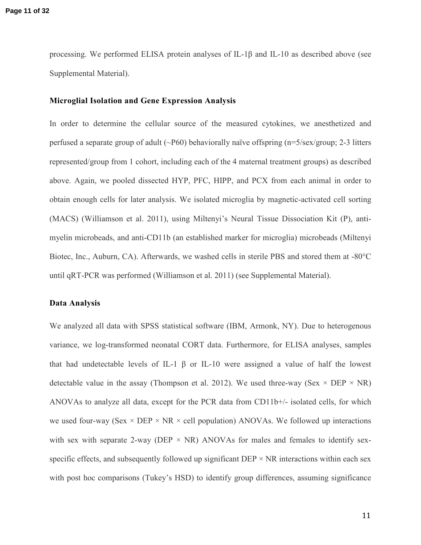processing. We performed ELISA protein analyses of IL-1 $\beta$  and IL-10 as described above (see Supplemental Material).

#### **Microglial Isolation and Gene Expression Analysis**

 In order to determine the cellular source of the measured cytokines, we anesthetized and perfused a separate group of adult (~P60) behaviorally naïve offspring (n=5/sex/group; 23 litters represented/group from 1 cohort, including each of the 4 maternal treatment groups) as described above. Again, we pooled dissected HYP, PFC, HIPP, and PCX from each animal in order to obtain enough cells for later analysis. We isolated microglia by magnetic-activated cell sorting (MACS) (Williamson et al. 2011), using Miltenyi's Neural Tissue Dissociation Kit (P), antimyelin microbeads, and anti-CD11b (an established marker for microglia) microbeads (Miltenyi Biotec, Inc., Auburn, CA). Afterwards, we washed cells in sterile PBS and stored them at  $-80^{\circ}$ C until qRT-PCR was performed (Williamson et al. 2011) (see Supplemental Material).

#### **Data Analysis**

 We analyzed all data with SPSS statistical software (IBM, Armonk, NY). Due to heterogenous variance, we log-transformed neonatal CORT data. Furthermore, for ELISA analyses, samples that had undetectable levels of IL-1  $\beta$  or IL-10 were assigned a value of half the lowest detectable value in the assay (Thompson et al. 2012). We used three-way (Sex  $\times$  DEP  $\times$  NR) ANOVAs to analyze all data, except for the PCR data from CD11b+/- isolated cells, for which we used four-way (Sex  $\times$  DEP  $\times$  NR  $\times$  cell population) ANOVAs. We followed up interactions with sex with separate 2-way (DEP  $\times$  NR) ANOVAs for males and females to identify sexspecific effects, and subsequently followed up significant  $DEF \times NR$  interactions within each sex with post hoc comparisons (Tukey's HSD) to identify group differences, assuming significance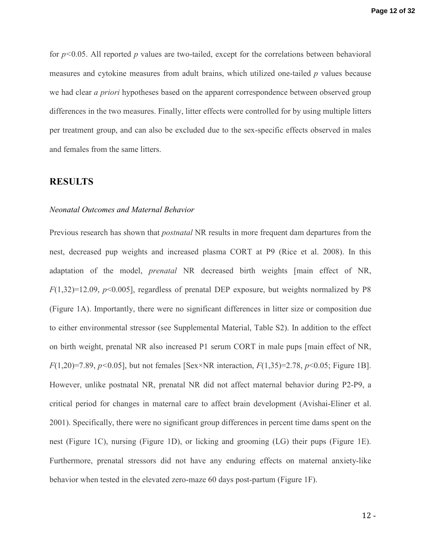for  $p$ <0.05. All reported  $p$  values are two-tailed, except for the correlations between behavioral measures and cytokine measures from adult brains, which utilized one-tailed *p* values because we had clear *a priori* hypotheses based on the apparent correspondence between observed group differences in the two measures. Finally, litter effects were controlled for by using multiple litters per treatment group, and can also be excluded due to the sex-specific effects observed in males and females from the same litters.

#### **RESULTS**

#### *Neonatal Outcomes and Maternal Behavior*

 Previous research has shown that *postnatal* NR results in more frequent dam departures from the nest, decreased pup weights and increased plasma CORT at P9 (Rice et al. 2008). In this adaptation of the model, *prenatal* NR decreased birth weights [main effect of NR, *F*(1,32)=12.09, *p*<0.005], regardless of prenatal DEP exposure, but weights normalized by P8 (Figure 1A). Importantly, there were no significant differences in litter size or composition due to either environmental stressor (see Supplemental Material, Table S2). In addition to the effect on birth weight, prenatal NR also increased P1 serum CORT in male pups [main effect of NR, *F*(1,20)=7.89, *p<*0.05], but not females [Sex×NR interaction, *F*(1,35)=2.78, *p*<0.05; Figure 1B]. However, unlike postnatal NR, prenatal NR did not affect maternal behavior during P2-P9, a critical period for changes in maternal care to affect brain development (Avishai-Eliner et al. 2001). Specifically, there were no significant group differences in percent time dams spent on the nest (Figure 1C), nursing (Figure 1D), or licking and grooming (LG) their pups (Figure 1E). Furthermore, prenatal stressors did not have any enduring effects on maternal anxiety-like behavior when tested in the elevated zero-maze 60 days post-partum (Figure 1F).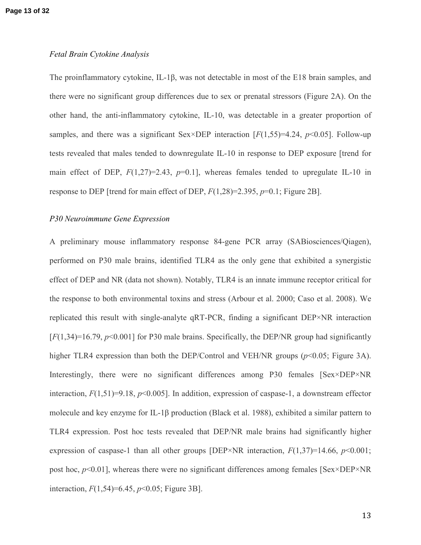#### *Fetal Brain Cytokine Analysis*

The proinflammatory cytokine, IL-1β, was not detectable in most of the E18 brain samples, and there were no significant group differences due to sex or prenatal stressors (Figure 2A). On the other hand, the anti-inflammatory cytokine, IL-10, was detectable in a greater proportion of samples, and there was a significant Sex×DEP interaction  $[F(1,55)=4.24, p<0.05]$ . Follow-up tests revealed that males tended to downregulate IL-10 in response to DEP exposure [trend for main effect of DEP,  $F(1,27)=2.43$ ,  $p=0.1$ ], whereas females tended to upregulate IL-10 in response to DEP [trend for main effect of DEP, *F*(1,28)=2.395, *p*=0.1; Figure 2B].

#### *P30 Neuroimmune Gene Expression*

A preliminary mouse inflammatory response 84-gene PCR array (SABiosciences/Qiagen), performed on P30 male brains, identified TLR4 as the only gene that exhibited a synergistic effect of DEP and NR (data not shown). Notably, TLR4 is an innate immune receptor critical for the response to both environmental toxins and stress (Arbour et al. 2000; Caso et al. 2008). We replicated this result with single-analyte  $qRT-PCR$ , finding a significant  $DEPEND$ ×NR interaction [*F*(1,34)=16.79, *p*<0.001] for P30 male brains. Specifically, the DEP/NR group had significantly higher TLR4 expression than both the DEP/Control and VEH/NR groups (*p*<0.05; Figure 3A). Interestingly, there were no significant differences among P30 females [Sex×DEP×NR interaction,  $F(1,51)=9.18$ ,  $p<0.005$ ]. In addition, expression of caspase-1, a downstream effector molecule and key enzyme for IL-1β production (Black et al. 1988), exhibited a similar pattern to TLR4 expression. Post hoc tests revealed that DEP/NR male brains had significantly higher expression of caspase-1 than all other groups [DEP×NR interaction,  $F(1,37)=14.66$ ,  $p<0.001$ ; post hoc, *p*<0.01], whereas there were no significant differences among females [Sex×DEP×NR interaction, *F*(1,54)=6.45, *p*<0.05; Figure 3B].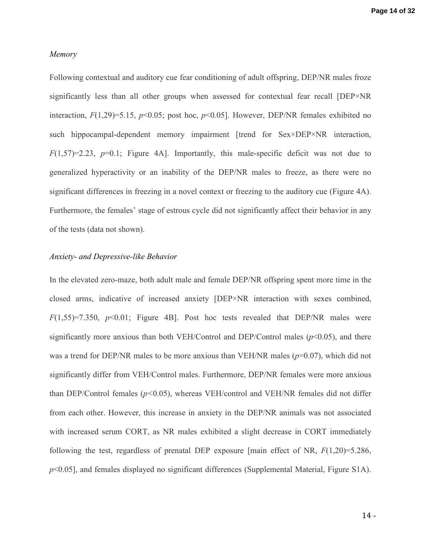#### *Memory*

 Following contextual and auditory cue fear conditioning of adult offspring, DEP/NR males froze significantly less than all other groups when assessed for contextual fear recall [DEP×NR interaction, *F*(1,29)=5.15, *p*<0.05; post hoc, *p*<0*.*05]. However, DEP/NR females exhibited no such hippocampal-dependent memory impairment [trend for  $Sex \times DEP \times NR$  interaction,  $F(1,57)=2.23$ ,  $p=0.1$ ; Figure 4A. Importantly, this male-specific deficit was not due to generalized hyperactivity or an inability of the DEP/NR males to freeze, as there were no significant differences in freezing in a novel context or freezing to the auditory cue (Figure 4A). Furthermore, the females' stage of estrous cycle did not significantly affect their behavior in any of the tests (data not shown).

#### *Anxiety and Depressivelike Behavior*

In the elevated zero-maze, both adult male and female DEP/NR offspring spent more time in the closed arms, indicative of increased anxiety [DEP×NR interaction with sexes combined, *F*(1,55)=7.350, *p*<0.01; Figure 4B]. Post hoc tests revealed that DEP/NR males were significantly more anxious than both VEH/Control and DEP/Control males (*p*<0.05), and there was a trend for DEP/NR males to be more anxious than VEH/NR males ( $p=0.07$ ), which did not significantly differ from VEH/Control males. Furthermore, DEP/NR females were more anxious than DEP/Control females (*p<*0.05), whereas VEH/control and VEH/NR females did not differ from each other. However, this increase in anxiety in the DEP/NR animals was not associated with increased serum CORT, as NR males exhibited a slight decrease in CORT immediately following the test, regardless of prenatal DEP exposure [main effect of NR, *F*(1,20)=5.286, *p*<0.05], and females displayed no significant differences (Supplemental Material, Figure S1A).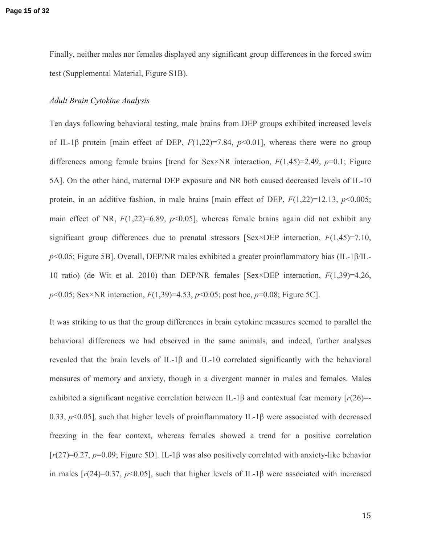Finally, neither males nor females displayed any significant group differences in the forced swim test (Supplemental Material, Figure S1B).

#### *Adult Brain Cytokine Analysis*

 Ten days following behavioral testing, male brains from DEP groups exhibited increased levels of IL-1 $\beta$  protein [main effect of DEP,  $F(1,22)=7.84$ ,  $p<0.01$ ], whereas there were no group differences among female brains [trend for Sex×NR interaction, *F*(1,45)=2.49, *p*=0.1; Figure 5A]. On the other hand, maternal DEP exposure and NR both caused decreased levels of IL-10 protein, in an additive fashion, in male brains [main effect of DEP, *F*(1,22)=12.13, *p*<0.005; main effect of NR, *F*(1,22)=6.89, *p*<0.05], whereas female brains again did not exhibit any significant group differences due to prenatal stressors [Sex×DEP interaction, *F*(1,45)=7.10, *p*<0.05; Figure 5B]. Overall, DEP/NR males exhibited a greater proinflammatory bias (IL1β/IL- 10 ratio) (de Wit et al. 2010) than DEP/NR females [Sex×DEP interaction, *F*(1,39)=4.26, *p*<0.05; Sex×NR interaction, *F*(1,39)=4.53, *p*<0.05; post hoc, *p*=0.08; Figure 5C].

 It was striking to us that the group differences in brain cytokine measures seemed to parallel the behavioral differences we had observed in the same animals, and indeed, further analyses revealed that the brain levels of IL-1 $\beta$  and IL-10 correlated significantly with the behavioral measures of memory and anxiety, though in a divergent manner in males and females. Males exhibited a significant negative correlation between IL-1β and contextual fear memory  $[r(26)$ = 0.33,  $p$ <0.05], such that higher levels of proinflammatory IL-1 $\beta$  were associated with decreased freezing in the fear context, whereas females showed a trend for a positive correlation  $[r(27)=0.27, p=0.09;$  Figure 5D]. IL-1 $\beta$  was also positively correlated with anxiety-like behavior in males  $[r(24)=0.37, p<0.05]$ , such that higher levels of IL-1 $\beta$  were associated with increased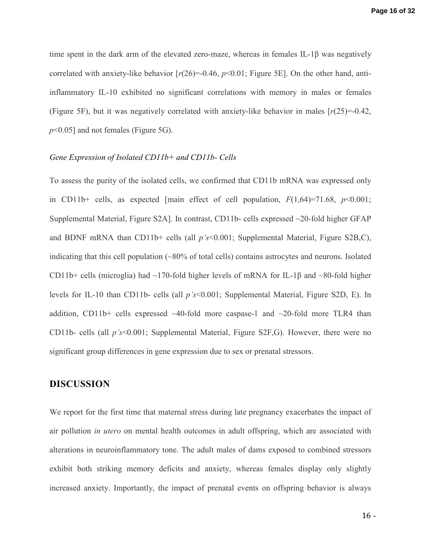time spent in the dark arm of the elevated zero-maze, whereas in females IL-1 $\beta$  was negatively correlated with anxiety-like behavior  $[r(26)=0.46, p<0.01;$  Figure 5E]. On the other hand, antiinflammatory IL-10 exhibited no significant correlations with memory in males or females (Figure 5F), but it was negatively correlated with anxiety-like behavior in males  $[r(25)=0.42,$ *p*<0.05] and not females (Figure 5G).

#### *Gene Expression of Isolated CD11b+ and CD11b Cells*

 To assess the purity of the isolated cells, we confirmed that CD11b mRNA was expressed only in CD11b+ cells, as expected [main effect of cell population,  $F(1,64)=71.68$ ,  $p<0.001$ ; Supplemental Material, Figure S2A]. In contrast, CD11b- cells expressed  $\sim$ 20-fold higher GFAP and BDNF mRNA than CD11b+ cells (all *p's*<0.001; Supplemental Material, Figure S2B,C), indicating that this cell population (~80% of total cells) contains astrocytes and neurons. Isolated CD11b+ cells (microglia) had ~170-fold higher levels of mRNA for IL-1β and ~80-fold higher levels for IL-10 than CD11b- cells (all  $p$ 's<0.001; Supplemental Material, Figure S2D, E). In addition, CD11b+ cells expressed  $\sim$ 40-fold more caspase-1 and  $\sim$ 20-fold more TLR4 than CD11b- cells (all  $p$ 's<0.001; Supplemental Material, Figure S2F, G). However, there were no significant group differences in gene expression due to sex or prenatal stressors.

#### **DISCUSSION**

 We report for the first time that maternal stress during late pregnancy exacerbates the impact of air pollution *in utero* on mental health outcomes in adult offspring, which are associated with alterations in neuroinflammatory tone. The adult males of dams exposed to combined stressors exhibit both striking memory deficits and anxiety, whereas females display only slightly increased anxiety. Importantly, the impact of prenatal events on offspring behavior is always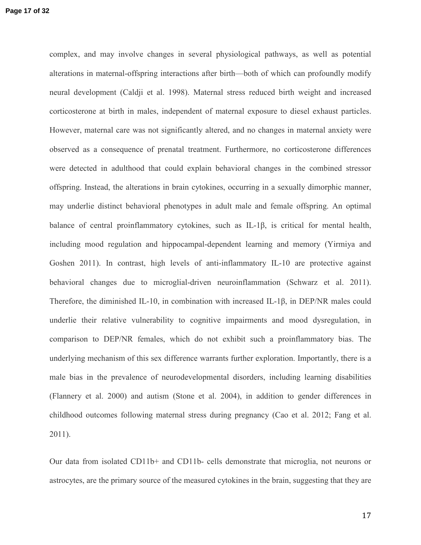complex, and may involve changes in several physiological pathways, as well as potential alterations in maternal-offspring interactions after birth—both of which can profoundly modify neural development (Caldji et al. 1998). Maternal stress reduced birth weight and increased corticosterone at birth in males, independent of maternal exposure to diesel exhaust particles. However, maternal care was not significantly altered, and no changes in maternal anxiety were observed as a consequence of prenatal treatment. Furthermore, no corticosterone differences were detected in adulthood that could explain behavioral changes in the combined stressor offspring. Instead, the alterations in brain cytokines, occurring in a sexually dimorphic manner, may underlie distinct behavioral phenotypes in adult male and female offspring. An optimal balance of central proinflammatory cytokines, such as IL-1 $\beta$ , is critical for mental health, including mood regulation and hippocampal-dependent learning and memory (Yirmiya and Goshen 2011). In contrast, high levels of anti-inflammatory IL-10 are protective against behavioral changes due to microglial-driven neuroinflammation (Schwarz et al. 2011). Therefore, the diminished IL-10, in combination with increased IL-1β, in DEP/NR males could underlie their relative vulnerability to cognitive impairments and mood dysregulation, in comparison to DEP/NR females, which do not exhibit such a proinflammatory bias. The underlying mechanism of this sex difference warrants further exploration. Importantly, there is a male bias in the prevalence of neurodevelopmental disorders, including learning disabilities (Flannery et al. 2000) and autism (Stone et al. 2004), in addition to gender differences in childhood outcomes following maternal stress during pregnancy (Cao et al. 2012; Fang et al. 2011).

Our data from isolated CD11b+ and CD11b- cells demonstrate that microglia, not neurons or astrocytes, are the primary source of the measured cytokines in the brain, suggesting that they are

17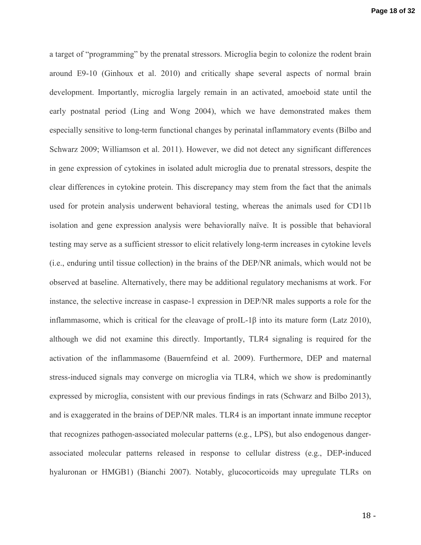a target of "programming" by the prenatal stressors. Microglia begin to colonize the rodent brain around E910 (Ginhoux et al. 2010) and critically shape several aspects of normal brain development. Importantly, microglia largely remain in an activated, amoeboid state until the early postnatal period (Ling and Wong 2004), which we have demonstrated makes them especially sensitive to long-term functional changes by perinatal inflammatory events (Bilbo and Schwarz 2009; Williamson et al. 2011). However, we did not detect any significant differences in gene expression of cytokines in isolated adult microglia due to prenatal stressors, despite the clear differences in cytokine protein. This discrepancy may stem from the fact that the animals used for protein analysis underwent behavioral testing, whereas the animals used for CD11b isolation and gene expression analysis were behaviorally naïve. It is possible that behavioral testing may serve as a sufficient stressor to elicit relatively long-term increases in cytokine levels (i.e., enduring until tissue collection) in the brains of the DEP/NR animals, which would not be observed at baseline. Alternatively, there may be additional regulatory mechanisms at work. For instance, the selective increase in caspase-1 expression in DEP/NR males supports a role for the inflammasome, which is critical for the cleavage of proIL-1 $\beta$  into its mature form (Latz 2010), although we did not examine this directly. Importantly, TLR4 signaling is required for the activation of the inflammasome (Bauernfeind et al. 2009). Furthermore, DEP and maternal stress-induced signals may converge on microglia via TLR4, which we show is predominantly expressed by microglia, consistent with our previous findings in rats (Schwarz and Bilbo 2013), and is exaggerated in the brains of DEP/NR males. TLR4 is an important innate immune receptor that recognizes pathogen-associated molecular patterns (e.g., LPS), but also endogenous dangerassociated molecular patterns released in response to cellular distress (e.g., DEP-induced hyaluronan or HMGB1) (Bianchi 2007). Notably, glucocorticoids may upregulate TLRs on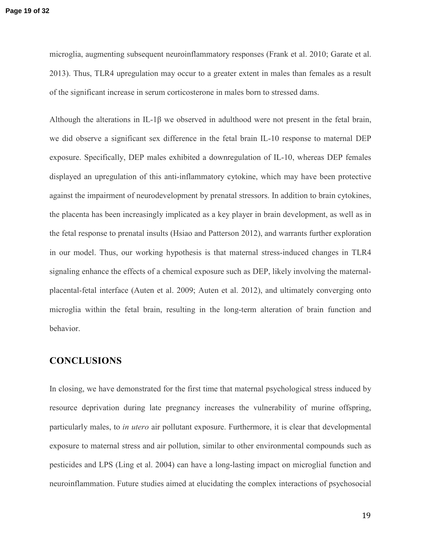microglia, augmenting subsequent neuroinflammatory responses (Frank et al. 2010; Garate et al. 2013). Thus, TLR4 upregulation may occur to a greater extent in males than females as a result of the significant increase in serum corticosterone in males born to stressed dams.

Although the alterations in IL-1 $\beta$  we observed in adulthood were not present in the fetal brain, we did observe a significant sex difference in the fetal brain IL-10 response to maternal DEP exposure. Specifically, DEP males exhibited a downregulation of IL-10, whereas DEP females displayed an upregulation of this anti-inflammatory cytokine, which may have been protective against the impairment of neurodevelopment by prenatal stressors. In addition to brain cytokines, the placenta has been increasingly implicated as a key player in brain development, as well as in the fetal response to prenatal insults (Hsiao and Patterson 2012), and warrants further exploration in our model. Thus, our working hypothesis is that maternal stress-induced changes in TLR4 signaling enhance the effects of a chemical exposure such as DEP, likely involving the maternalplacental-fetal interface (Auten et al. 2009; Auten et al. 2012), and ultimately converging onto microglia within the fetal brain, resulting in the long-term alteration of brain function and behavior.

#### **CONCLUSIONS**

 In closing, we have demonstrated for the first time that maternal psychological stress induced by resource deprivation during late pregnancy increases the vulnerability of murine offspring, particularly males, to *in utero* air pollutant exposure. Furthermore, it is clear that developmental exposure to maternal stress and air pollution, similar to other environmental compounds such as pesticides and LPS (Ling et al. 2004) can have a long-lasting impact on microglial function and neuroinflammation. Future studies aimed at elucidating the complex interactions of psychosocial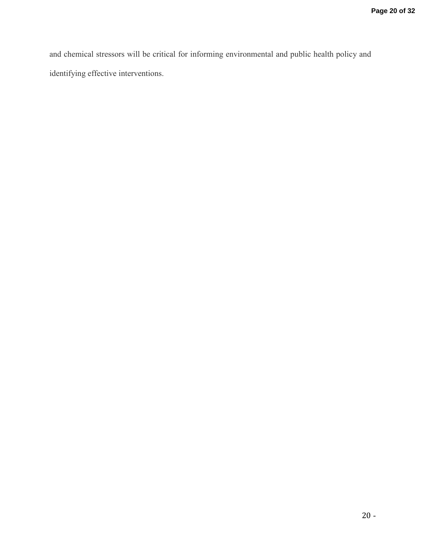and chemical stressors will be critical for informing environmental and public health policy and identifying effective interventions.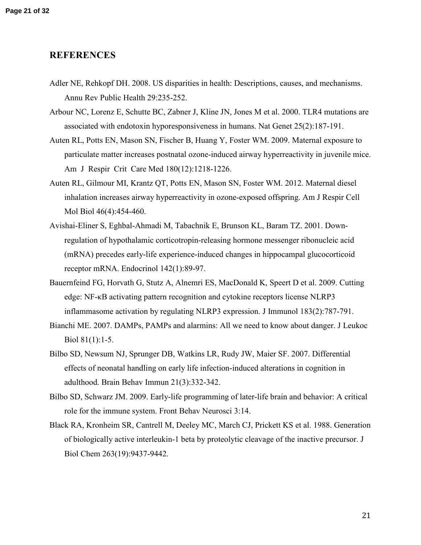#### **REFERENCES**

- Adler NE, Rehkopf DH. 2008. US disparities in health: Descriptions, causes, and mechanisms. Annu Rev Public Health 29:235-252.
- Arbour NC, Lorenz E, Schutte BC, Zabner J, Kline JN, Jones M et al. 2000. TLR4 mutations are associated with endotoxin hyporesponsiveness in humans. Nat Genet 25(2):187-191.
- Auten RL, Potts EN, Mason SN, Fischer B, Huang Y, Foster WM. 2009. Maternal exposure to particulate matter increases postnatal ozone-induced airway hyperreactivity in juvenile mice. Am J Respir Crit Care Med 180(12):1218-1226.
- Auten RL, Gilmour MI, Krantz QT, Potts EN, Mason SN, Foster WM. 2012. Maternal diesel inhalation increases airway hyperreactivity in ozone-exposed offspring. Am J Respir Cell Mol Biol 46(4):454460.
- Avishai-Eliner S, Eghbal-Ahmadi M, Tabachnik E, Brunson KL, Baram TZ. 2001. Downregulation of hypothalamic corticotropin-releasing hormone messenger ribonucleic acid (mRNA) precedes early-life experience-induced changes in hippocampal glucocorticoid receptor mRNA. Endocrinol 142(1):89-97.
- Bauernfeind FG, Horvath G, Stutz A, Alnemri ES, MacDonald K, Speert D et al. 2009. Cutting edge: NF-KB activating pattern recognition and cytokine receptors license NLRP3 inflammasome activation by regulating NLRP3 expression. J Immunol 183(2):787-791.
- Bianchi ME. 2007. DAMPs, PAMPs and alarmins: All we need to know about danger. J Leukoc Biol 81(1):1-5.
- Bilbo SD, Newsum NJ, Sprunger DB, Watkins LR, Rudy JW, Maier SF. 2007. Differential effects of neonatal handling on early life infection-induced alterations in cognition in adulthood. Brain Behav Immun 21(3):332-342.
- Bilbo SD, Schwarz JM. 2009. Early-life programming of later-life brain and behavior: A critical role for the immune system. Front Behav Neurosci 3:14.
- Black RA, Kronheim SR, Cantrell M, Deeley MC, March CJ, Prickett KS et al. 1988. Generation of biologically active interleukin-1 beta by proteolytic cleavage of the inactive precursor. J Biol Chem 263(19):9437-9442.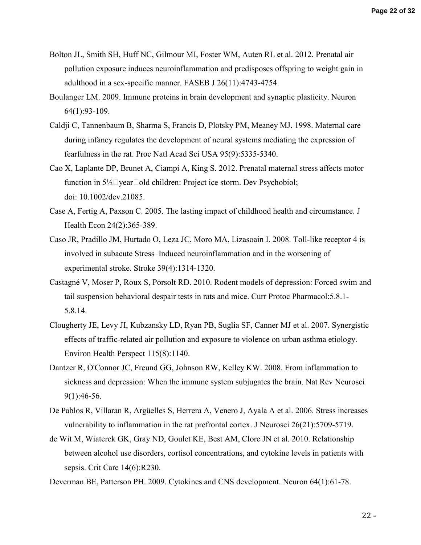- Bolton JL, Smith SH, Huff NC, Gilmour MI, Foster WM, Auten RL et al. 2012. Prenatal air pollution exposure induces neuroinflammation and predisposes offspring to weight gain in adulthood in a sex-specific manner. FASEB J  $26(11)$ :4743-4754.
- Boulanger LM. 2009. Immune proteins in brain development and synaptic plasticity. Neuron  $64(1):93-109.$
- 64(1):93109. Caldji C, Tannenbaum B, Sharma S, Francis D, Plotsky PM, Meaney MJ. 1998. Maternal care during infancy regulates the development of neural systems mediating the expression of fearfulness in the rat. Proc Natl Acad Sci USA 95(9):5335-5340.
- Cao X, Laplante DP, Brunet A, Ciampi A, King S. 2012. Prenatal maternal stress affects motor function in  $5\frac{1}{2}$  year old children: Project ice storm. Dev Psychobiol; doi: 10.1002/dev.21085. doi: 10.1002/dev.21085.<br>Case A, Fertig A, Paxson C. 2005. The lasting impact of childhood health and circumstance. J
- Health Econ 24(2):365-389.
- Caso JR, Pradillo JM, Hurtado O, Leza JC, Moro MA, Lizasoain I. 2008. Toll-like receptor 4 is involved in subacute Stress–Induced neuroinflammation and in the worsening of experimental stroke. Stroke 39(4):1314-1320.
- Castagné V, Moser P, Roux S, Porsolt RD. 2010. Rodent models of depression: Forced swim and tail suspension behavioral despair tests in rats and mice. Curr Protoc Pharmacol:5.8.1 5.8.14.
- 5.8.14. Clougherty JE, Levy JI, Kubzansky LD, Ryan PB, Suglia SF, Canner MJ et al. 2007. Synergistic effects of traffic-related air pollution and exposure to violence on urban asthma etiology. Environ Health Perspect 115(8):1140.
- Dantzer R, O'Connor JC, Freund GG, Johnson RW, Kelley KW. 2008. From inflammation to sickness and depression: When the immune system subjugates the brain. Nat Rev Neurosci  $9(1):46-56.$ 9(1):4656. De Pablos R, Villaran R, Argüelles S, Herrera A, Venero J, Ayala A et al. 2006. Stress increases
- vulnerability to inflammation in the rat prefrontal cortex. J Neurosci  $26(21)$ :5709-5719.
- de Wit M, Wiaterek GK, Gray ND, Goulet KE, Best AM, Clore JN et al. 2010. Relationship between alcohol use disorders, cortisol concentrations, and cytokine levels in patients with sepsis. Crit Care 14(6):R230.
- Deverman BE, Patterson PH. 2009. Cytokines and CNS development. Neuron 64(1):61-78.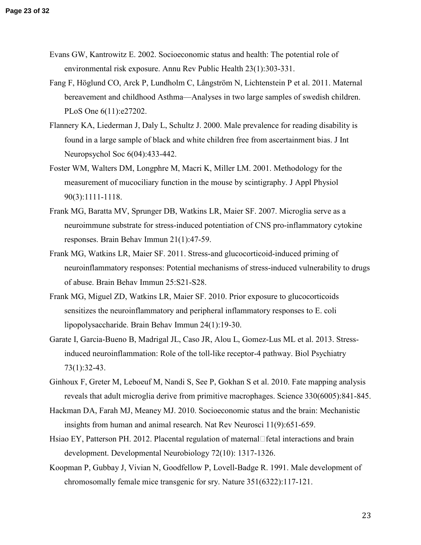- Evans GW, Kantrowitz E. 2002. Socioeconomic status and health: The potential role of environmental risk exposure. Annu Rev Public Health 23(1):303-331.
- Fang F, Höglund CO, Arck P, Lundholm C, Långström N, Lichtenstein P et al. 2011. Maternal bereavement and childhood Asthma—Analyses in two large samples of swedish children. PLoS One 6(11):e27202.
- Flannery KA, Liederman J, Daly L, Schultz J. 2000. Male prevalence for reading disability is found in a large sample of black and white children free from ascertainment bias. J Int Neuropsychol Soc 6(04):433442.
- Foster WM, Walters DM, Longphre M, Macri K, Miller LM. 2001. Methodology for the measurement of mucociliary function in the mouse by scintigraphy. J Appl Physiol  $90(3):1111-1118.$ 90(3):11111118. Frank MG, Baratta MV, Sprunger DB, Watkins LR, Maier SF. 2007. Microglia serve as a
- neuroimmune substrate for stress-induced potentiation of CNS pro-inflammatory cytokine responses. Brain Behav Immun 21(1):4759.
- Frank MG, Watkins LR, Maier SF. 2011. Stress-and glucocorticoid-induced priming of neuroinflammatory responses: Potential mechanisms of stress-induced vulnerability to drugs of abuse. Brain Behav Immun 25:S21-S28.
- Frank MG, Miguel ZD, Watkins LR, Maier SF. 2010. Prior exposure to glucocorticoids sensitizes the neuroinflammatory and peripheral inflammatory responses to E. coli lipopolysaccharide. Brain Behav Immun 24(1):19-30.
- Garate I, Garcia-Bueno B, Madrigal JL, Caso JR, Alou L, Gomez-Lus ML et al. 2013. Stressinduced neuroinflammation: Role of the toll-like receptor-4 pathway. Biol Psychiatry  $73(1):32-43.$
- 73(1):3243. Ginhoux F, Greter M, Leboeuf M, Nandi S, See P, Gokhan S et al. 2010. Fate mapping analysis reveals that adult microglia derive from primitive macrophages. Science 330(6005):841-845.
- Hackman DA, Farah MJ, Meaney MJ. 2010. Socioeconomic status and the brain: Mechanistic insights from human and animal research. Nat Rev Neurosci  $11(9)$ :651-659.
- Hsiao EY, Patterson PH. 2012. Placental regulation of maternal<sup>[1]</sup>fetal interactions and brain development. Developmental Neurobiology 72(10): 1317-1326.
- Koopman P, Gubbay J, Vivian N, Goodfellow P, Lovell-Badge R. 1991. Male development of chromosomally female mice transgenic for sry. Nature 351(6322):117-121.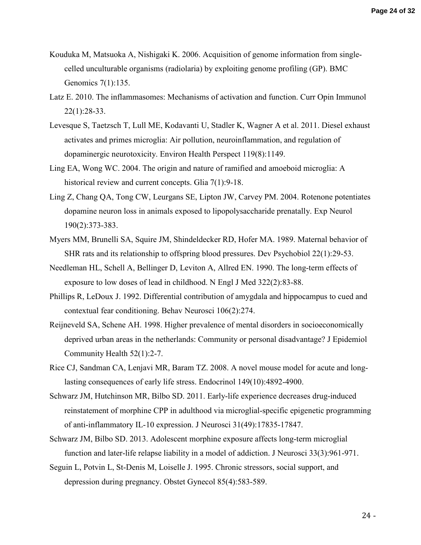- Kouduka M, Matsuoka A, Nishigaki K. 2006. Acquisition of genome information from single- celled unculturable organisms (radiolaria) by exploiting genome profiling (GP). BMC Genomics 7(1):135.
- Latz E. 2010. The inflammasomes: Mechanisms of activation and function. Curr Opin Immunol  $22(1):28-33.$ 22(1):28-33.<br>Levesque S, Taetzsch T, Lull ME, Kodavanti U, Stadler K, Wagner A et al. 2011. Diesel exhaust
- activates and primes microglia: Air pollution, neuroinflammation, and regulation of dopaminergic neurotoxicity. Environ Health Perspect 119(8):1149.
- Ling EA, Wong WC. 2004. The origin and nature of ramified and amoeboid microglia: A historical review and current concepts. Glia  $7(1)$ :9-18.
- dopamine neuron loss in animals exposed to lipopolysaccharide prenatally. Exp Neurol  $190(2):373-383.$ Ling Z, Chang QA, Tong CW, Leurgans SE, Lipton JW, Carvey PM. 2004. Rotenone potentiates
- 190(2):373-383.<br>Myers MM, Brunelli SA, Squire JM, Shindeldecker RD, Hofer MA. 1989. Maternal behavior of SHR rats and its relationship to offspring blood pressures. Dev Psychobiol  $22(1)$ :29-53.
- Needleman HL, Schell A, Bellinger D, Leviton A, Allred EN. 1990. The long-term effects of exposure to low doses of lead in childhood. N Engl J Med 322(2):83-88.
- Phillips R, LeDoux J. 1992. Differential contribution of amygdala and hippocampus to cued and contextual fear conditioning. Behav Neurosci 106(2):274.
- Reijneveld SA, Schene AH. 1998. Higher prevalence of mental disorders in socioeconomically deprived urban areas in the netherlands: Community or personal disadvantage? J Epidemiol Community Health  $52(1)$ :2-7.
- Rice CJ, Sandman CA, Lenjavi MR, Baram TZ. 2008. A novel mouse model for acute and longlasting consequences of early life stress. Endocrinol 149(10):4892-4900.
- Schwarz JM, Hutchinson MR, Bilbo SD. 2011. Early-life experience decreases drug-induced reinstatement of morphine CPP in adulthood via microglial-specific epigenetic programming of anti-inflammatory IL-10 expression. J Neurosci 31(49):17835-17847.
- Schwarz JM, Bilbo SD. 2013. Adolescent morphine exposure affects long-term microglial function and later-life relapse liability in a model of addiction. J Neurosci  $33(3)$ :961-971.
- Seguin L, Potvin L, St-Denis M, Loiselle J. 1995. Chronic stressors, social support, and depression during pregnancy. Obstet Gynecol 85(4):583-589.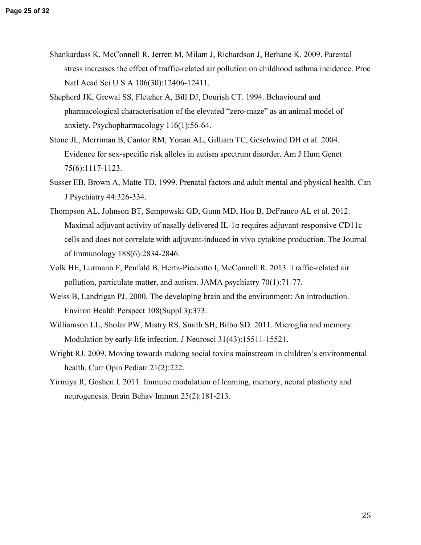- Shankardass K, McConnell R, Jerrett M, Milam J, Richardson J, Berhane K. 2009. Parental stress increases the effect of traffic-related air pollution on childhood asthma incidence. Proc Natl Acad Sci U S A 106(30):12406-12411.
- Shepherd JK, Grewal SS, Fletcher A, Bill DJ, Dourish CT. 1994. Behavioural and pharmacological characterisation of the elevated "zero-maze" as an animal model of anxiety. Psychopharmacology 116(1):56-64.
- anxiety. Psychopharmacology 116(1):56-64.<br>Stone JL, Merriman B, Cantor RM, Yonan AL, Gilliam TC, Geschwind DH et al. 2004. Evidence for sex-specific risk alleles in autism spectrum disorder. Am J Hum Genet 75(6):1117-1123.
- 75(6):11171123. Susser EB, Brown A, Matte TD. 1999. Prenatal factors and adult mental and physical health. Can J Psychiatry 44:326334.
- Thompson AL, Johnson BT, Sempowski GD, Gunn MD, Hou B, DeFranco AL et al. 2012. Maximal adjuvant activity of nasally delivered IL-1 $\alpha$  requires adjuvant-responsive CD11c cells and does not correlate with adjuvant-induced in vivo cytokine production. The Journal of Immunology 188(6):2834-2846.
- of Immunology 188(6):2834-2846.<br>Volk HE, Lurmann F, Penfold B, Hertz-Picciotto I, McConnell R. 2013. Traffic-related air pollution, particulate matter, and autism. JAMA psychiatry  $70(1)$ :71-77.
- Weiss B, Landrigan PJ. 2000. The developing brain and the environment: An introduction. Environ Health Perspect 108(Suppl 3):373.
- Williamson LL, Sholar PW, Mistry RS, Smith SH, Bilbo SD. 2011. Microglia and memory: Modulation by early-life infection. J Neurosci 31(43):15511-15521.
- Wright RJ. 2009. Moving towards making social toxins mainstream in children's environmental health. Curr Opin Pediatr 21(2):222.
- Yirmiya R, Goshen I. 2011. Immune modulation of learning, memory, neural plasticity and neurogenesis. Brain Behav Immun 25(2):181-213.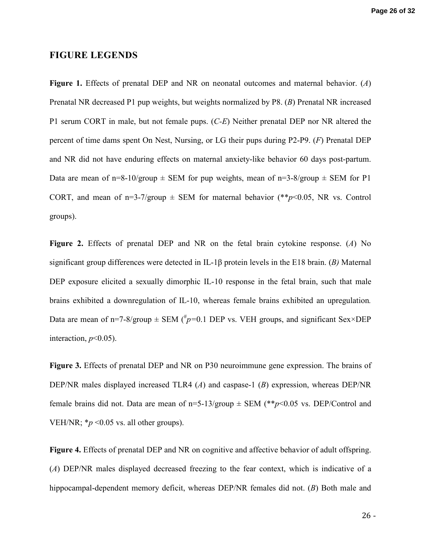#### **FIGURE LEGENDS**

 **Figure 1.** Effects of prenatal DEP and NR on neonatal outcomes and maternal behavior. (*A*) Prenatal NR decreased P1 pup weights, but weights normalized by P8. (*B*) Prenatal NR increased P1 serum CORT in male, but not female pups. (*CE*) Neither prenatal DEP nor NR altered the percent of time dams spent On Nest, Nursing, or LG their pups during P2-P9. (*F*) Prenatal DEP and NR did not have enduring effects on maternal anxiety-like behavior 60 days post-partum. Data are mean of n=8-10/group  $\pm$  SEM for pup weights, mean of n=3-8/group  $\pm$  SEM for P1 CORT, and mean of  $n=3-7/group \pm SEM$  for maternal behavior (\*\* $p<0.05$ , NR vs. Control groups).

 **Figure 2.** Effects of prenatal DEP and NR on the fetal brain cytokine response. (*A*) No significant group differences were detected in IL1β protein levels in the E18 brain. (*B)* Maternal DEP exposure elicited a sexually dimorphic IL-10 response in the fetal brain, such that male brains exhibited a downregulation of IL-10, whereas female brains exhibited an upregulation. Data are mean of n=7-8/group  $\pm$  SEM ( $\#p=0.1$  DEP vs. VEH groups, and significant Sex×DEP interaction,  $p<0.05$ ).

 **Figure 3.** Effects of prenatal DEP and NR on P30 neuroimmune gene expression. The brains of DEP/NR males displayed increased TLR4 (*A*) and caspase-1 (*B*) expression, whereas DEP/NR female brains did not. Data are mean of  $n=5-13/group \pm SEM$  (\*\* $p<0.05$  vs. DEP/Control and VEH/NR;  $\ast p$  <0.05 vs. all other groups).

 **Figure 4.** Effects of prenatal DEP and NR on cognitive and affective behavior of adult offspring. (*A*) DEP/NR males displayed decreased freezing to the fear context, which is indicative of a hippocampal-dependent memory deficit, whereas DEP/NR females did not. (*B*) Both male and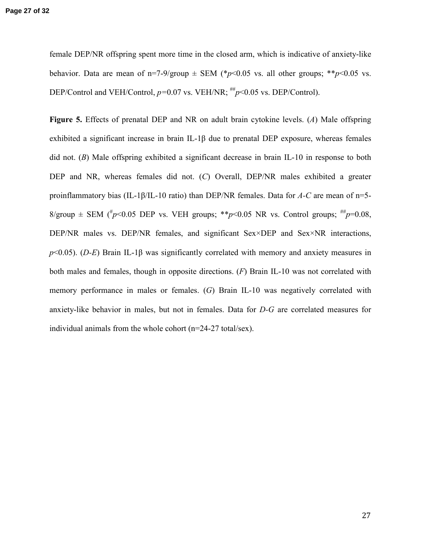female DEP/NR offspring spent more time in the closed arm, which is indicative of anxiety-like behavior. Data are mean of  $n=7-9/group \pm SEM$  (\* $p<0.05$  vs. all other groups; \*\* $p<0.05$  vs. DEP/Control and VEH/Control,  $p=0.07$  vs. VEH/NR;  $^{#}\cancel{p}<0.05$  vs. DEP/Control).

 **Figure 5.** Effects of prenatal DEP and NR on adult brain cytokine levels. (*A*) Male offspring exhibited a significant increase in brain IL-1 $\beta$  due to prenatal DEP exposure, whereas females did not. (*B*) Male offspring exhibited a significant decrease in brain IL-10 in response to both DEP and NR, whereas females did not. (*C*) Overall, DEP/NR males exhibited a greater proinflammatory bias (IL1β/IL10 ratio) than DEP/NR females. Data for *AC* are mean of n=5  $8/\text{group} \pm \text{SEM}$  ( $p<0.05$  DEP vs. VEH groups; \*\* $p<0.05$  NR vs. Control groups;  $p=0.08$ , DEP/NR males vs. DEP/NR females, and significant Sex×DEP and Sex×NR interactions,  $p$ <0.05). (*D-E*) Brain IL-1β was significantly correlated with memory and anxiety measures in both males and females, though in opposite directions. (*F*) Brain IL-10 was not correlated with memory performance in males or females. (G) Brain IL-10 was negatively correlated with anxiety-like behavior in males, but not in females. Data for *D-G* are correlated measures for individual animals from the whole cohort (n=2427 total/sex).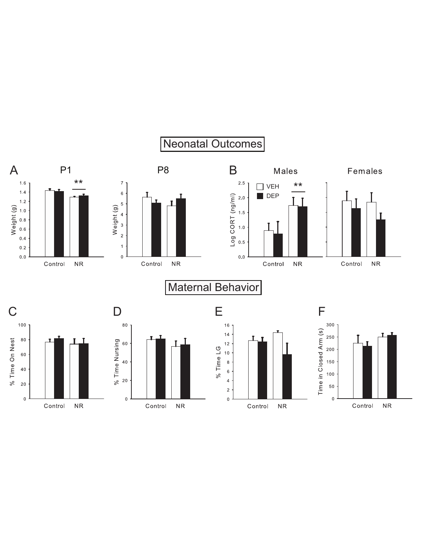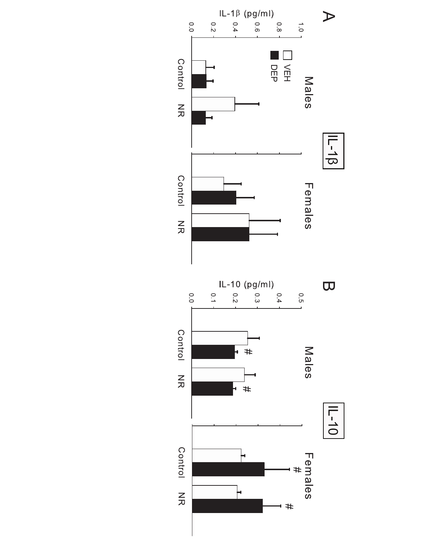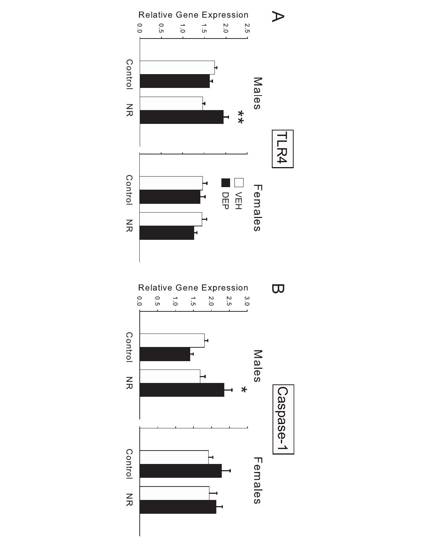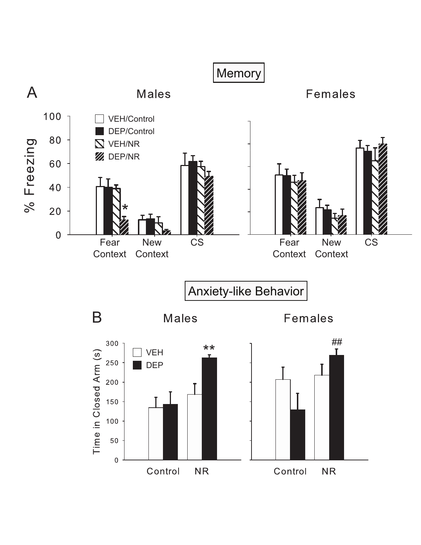